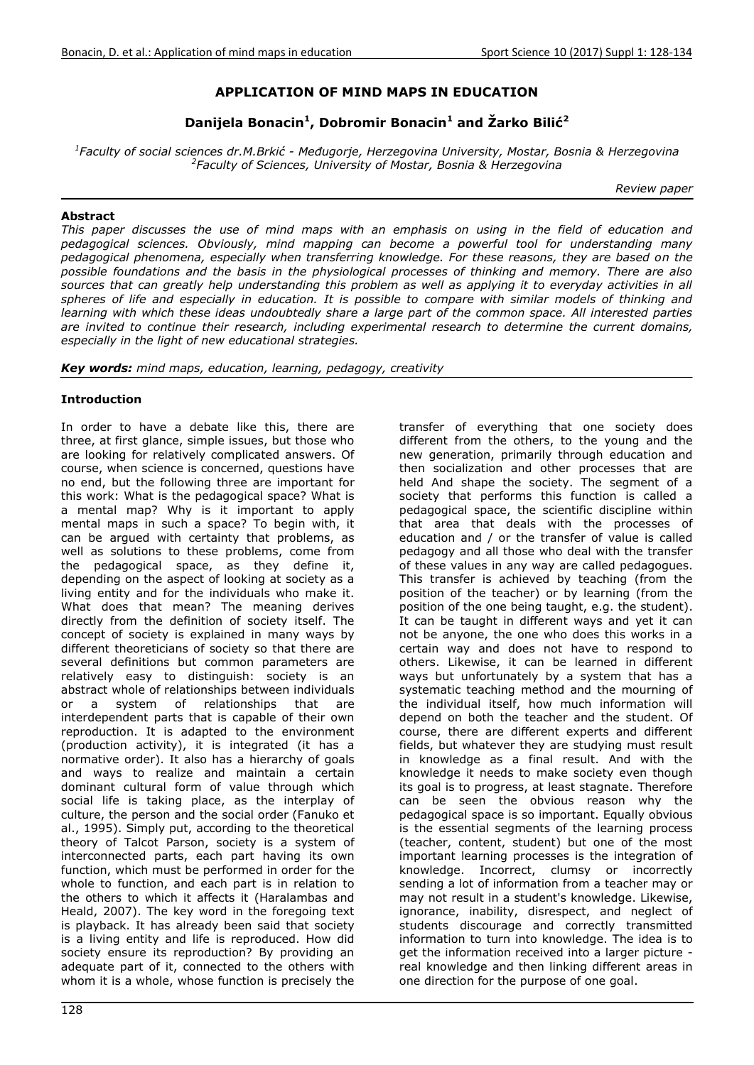# **APPLICATION OF MIND MAPS IN EDUCATION**

**Danijela Bonacin<sup>1</sup> , Dobromir Bonacin<sup>1</sup> and Žarko Bilić<sup>2</sup>**

*1 Faculty of social sciences dr.M.Brkić - Međugorje, Herzegovina University, Mostar, Bosnia & Herzegovina 2 Faculty of Sciences, University of Mostar, Bosnia & Herzegovina* 

*Review paper* 

### **Abstract**

*This paper discusses the use of mind maps with an emphasis on using in the field of education and pedagogical sciences. Obviously, mind mapping can become a powerful tool for understanding many pedagogical phenomena, especially when transferring knowledge. For these reasons, they are based on the possible foundations and the basis in the physiological processes of thinking and memory. There are also*  sources that can greatly help understanding this problem as well as applying it to everyday activities in all spheres of life and especially in education. It is possible to compare with similar models of thinking and *learning with which these ideas undoubtedly share a large part of the common space. All interested parties are invited to continue their research, including experimental research to determine the current domains, especially in the light of new educational strategies.* 

*Key words: mind maps, education, learning, pedagogy, creativity* 

### **Introduction**

In order to have a debate like this, there are three, at first glance, simple issues, but those who are looking for relatively complicated answers. Of course, when science is concerned, questions have no end, but the following three are important for this work: What is the pedagogical space? What is a mental map? Why is it important to apply mental maps in such a space? To begin with, it can be argued with certainty that problems, as well as solutions to these problems, come from the pedagogical space, as they define it, depending on the aspect of looking at society as a living entity and for the individuals who make it. What does that mean? The meaning derives directly from the definition of society itself. The concept of society is explained in many ways by different theoreticians of society so that there are several definitions but common parameters are relatively easy to distinguish: society is an abstract whole of relationships between individuals or a system of relationships that are interdependent parts that is capable of their own reproduction. It is adapted to the environment (production activity), it is integrated (it has a normative order). It also has a hierarchy of goals and ways to realize and maintain a certain dominant cultural form of value through which social life is taking place, as the interplay of culture, the person and the social order (Fanuko et al., 1995). Simply put, according to the theoretical theory of Talcot Parson, society is a system of interconnected parts, each part having its own function, which must be performed in order for the whole to function, and each part is in relation to the others to which it affects it (Haralambas and Heald, 2007). The key word in the foregoing text is playback. It has already been said that society is a living entity and life is reproduced. How did society ensure its reproduction? By providing an adequate part of it, connected to the others with whom it is a whole, whose function is precisely the

transfer of everything that one society does different from the others, to the young and the new generation, primarily through education and then socialization and other processes that are held And shape the society. The segment of a society that performs this function is called a pedagogical space, the scientific discipline within that area that deals with the processes of education and / or the transfer of value is called pedagogy and all those who deal with the transfer of these values in any way are called pedagogues. This transfer is achieved by teaching (from the position of the teacher) or by learning (from the position of the one being taught, e.g. the student). It can be taught in different ways and yet it can not be anyone, the one who does this works in a certain way and does not have to respond to others. Likewise, it can be learned in different ways but unfortunately by a system that has a systematic teaching method and the mourning of the individual itself, how much information will depend on both the teacher and the student. Of course, there are different experts and different fields, but whatever they are studying must result in knowledge as a final result. And with the knowledge it needs to make society even though its goal is to progress, at least stagnate. Therefore can be seen the obvious reason why the pedagogical space is so important. Equally obvious is the essential segments of the learning process (teacher, content, student) but one of the most important learning processes is the integration of knowledge. Incorrect, clumsy or incorrectly sending a lot of information from a teacher may or may not result in a student's knowledge. Likewise, ignorance, inability, disrespect, and neglect of students discourage and correctly transmitted information to turn into knowledge. The idea is to get the information received into a larger picture real knowledge and then linking different areas in one direction for the purpose of one goal.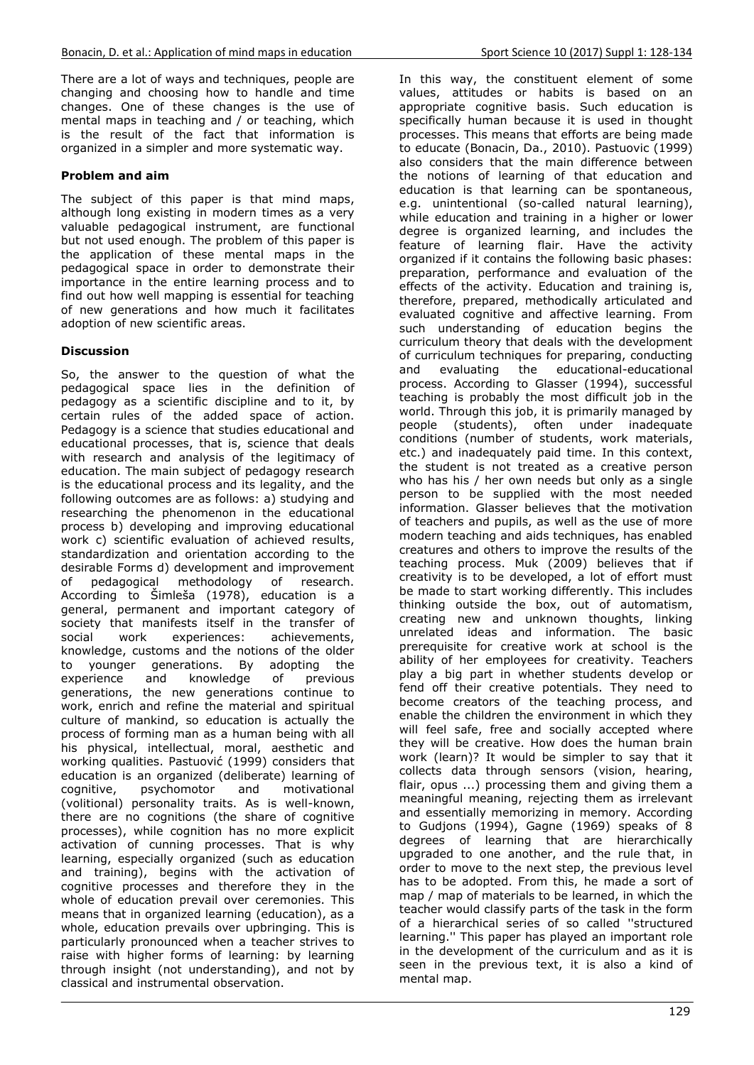There are a lot of ways and techniques, people are changing and choosing how to handle and time changes. One of these changes is the use of mental maps in teaching and / or teaching, which is the result of the fact that information is organized in a simpler and more systematic way.

## **Problem and aim**

The subject of this paper is that mind maps, although long existing in modern times as a very valuable pedagogical instrument, are functional but not used enough. The problem of this paper is the application of these mental maps in the pedagogical space in order to demonstrate their importance in the entire learning process and to find out how well mapping is essential for teaching of new generations and how much it facilitates adoption of new scientific areas.

## **Discussion**

So, the answer to the question of what the pedagogical space lies in the definition of pedagogy as a scientific discipline and to it, by certain rules of the added space of action. Pedagogy is a science that studies educational and educational processes, that is, science that deals with research and analysis of the legitimacy of education. The main subject of pedagogy research is the educational process and its legality, and the following outcomes are as follows: a) studying and researching the phenomenon in the educational process b) developing and improving educational work c) scientific evaluation of achieved results, standardization and orientation according to the desirable Forms d) development and improvement of pedagogical methodology of research. According to Šimleša (1978), education is a general, permanent and important category of society that manifests itself in the transfer of social work experiences: achievements, knowledge, customs and the notions of the older to younger generations. By adopting the experience and knowledge of previous generations, the new generations continue to work, enrich and refine the material and spiritual culture of mankind, so education is actually the process of forming man as a human being with all his physical, intellectual, moral, aesthetic and working qualities. Pastuović (1999) considers that education is an organized (deliberate) learning of cognitive, psychomotor and motivational cognitive, psychomotor and motivational (volitional) personality traits. As is well-known, there are no cognitions (the share of cognitive processes), while cognition has no more explicit activation of cunning processes. That is why learning, especially organized (such as education and training), begins with the activation of cognitive processes and therefore they in the whole of education prevail over ceremonies. This means that in organized learning (education), as a whole, education prevails over upbringing. This is particularly pronounced when a teacher strives to raise with higher forms of learning: by learning through insight (not understanding), and not by classical and instrumental observation.

In this way, the constituent element of some values, attitudes or habits is based on an appropriate cognitive basis. Such education is specifically human because it is used in thought processes. This means that efforts are being made to educate (Bonacin, Da., 2010). Pastuovic (1999) also considers that the main difference between the notions of learning of that education and education is that learning can be spontaneous, e.g. unintentional (so-called natural learning), while education and training in a higher or lower degree is organized learning, and includes the feature of learning flair. Have the activity organized if it contains the following basic phases: preparation, performance and evaluation of the effects of the activity. Education and training is, therefore, prepared, methodically articulated and evaluated cognitive and affective learning. From such understanding of education begins the curriculum theory that deals with the development of curriculum techniques for preparing, conducting<br>and evaluating the educational-educational and evaluating the educational-educational process. According to Glasser (1994), successful teaching is probably the most difficult job in the world. Through this job, it is primarily managed by people (students), often under inadequate conditions (number of students, work materials, etc.) and inadequately paid time. In this context, the student is not treated as a creative person who has his / her own needs but only as a single person to be supplied with the most needed information. Glasser believes that the motivation of teachers and pupils, as well as the use of more modern teaching and aids techniques, has enabled creatures and others to improve the results of the teaching process. Muk (2009) believes that if creativity is to be developed, a lot of effort must be made to start working differently. This includes thinking outside the box, out of automatism, creating new and unknown thoughts, linking unrelated ideas and information. The basic prerequisite for creative work at school is the ability of her employees for creativity. Teachers play a big part in whether students develop or fend off their creative potentials. They need to become creators of the teaching process, and enable the children the environment in which they will feel safe, free and socially accepted where they will be creative. How does the human brain work (learn)? It would be simpler to say that it collects data through sensors (vision, hearing, flair, opus ...) processing them and giving them a meaningful meaning, rejecting them as irrelevant and essentially memorizing in memory. According to Gudjons (1994), Gagne (1969) speaks of 8 degrees of learning that are hierarchically upgraded to one another, and the rule that, in order to move to the next step, the previous level has to be adopted. From this, he made a sort of map / map of materials to be learned, in which the teacher would classify parts of the task in the form of a hierarchical series of so called ''structured learning.'' This paper has played an important role in the development of the curriculum and as it is seen in the previous text, it is also a kind of mental map.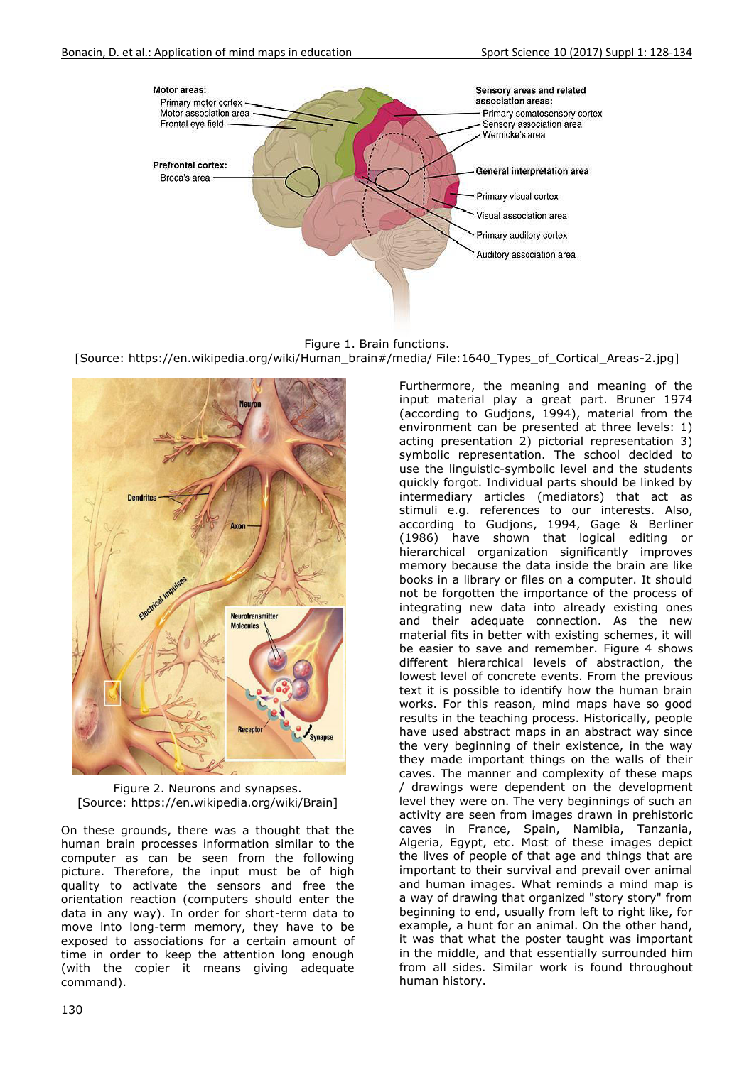

Figure 1. Brain functions.

[Source: https://en.wikipedia.org/wiki/Human\_brain#/media/ File:1640\_Types\_of\_Cortical\_Areas-2.jpg]



Figure 2. Neurons and synapses. [Source: https://en.wikipedia.org/wiki/Brain]

On these grounds, there was a thought that the human brain processes information similar to the computer as can be seen from the following picture. Therefore, the input must be of high quality to activate the sensors and free the orientation reaction (computers should enter the data in any way). In order for short-term data to move into long-term memory, they have to be exposed to associations for a certain amount of time in order to keep the attention long enough (with the copier it means giving adequate command).

Furthermore, the meaning and meaning of the input material play a great part. Bruner 1974 (according to Gudjons, 1994), material from the environment can be presented at three levels: 1) acting presentation 2) pictorial representation 3) symbolic representation. The school decided to use the linguistic-symbolic level and the students quickly forgot. Individual parts should be linked by intermediary articles (mediators) that act as stimuli e.g. references to our interests. Also, according to Gudjons, 1994, Gage & Berliner (1986) have shown that logical editing or hierarchical organization significantly improves memory because the data inside the brain are like books in a library or files on a computer. It should not be forgotten the importance of the process of integrating new data into already existing ones and their adequate connection. As the new material fits in better with existing schemes, it will be easier to save and remember. Figure 4 shows different hierarchical levels of abstraction, the lowest level of concrete events. From the previous text it is possible to identify how the human brain works. For this reason, mind maps have so good results in the teaching process. Historically, people have used abstract maps in an abstract way since the very beginning of their existence, in the way they made important things on the walls of their caves. The manner and complexity of these maps / drawings were dependent on the development level they were on. The very beginnings of such an activity are seen from images drawn in prehistoric caves in France, Spain, Namibia, Tanzania, Algeria, Egypt, etc. Most of these images depict the lives of people of that age and things that are important to their survival and prevail over animal and human images. What reminds a mind map is a way of drawing that organized "story story" from beginning to end, usually from left to right like, for example, a hunt for an animal. On the other hand, it was that what the poster taught was important in the middle, and that essentially surrounded him from all sides. Similar work is found throughout human history.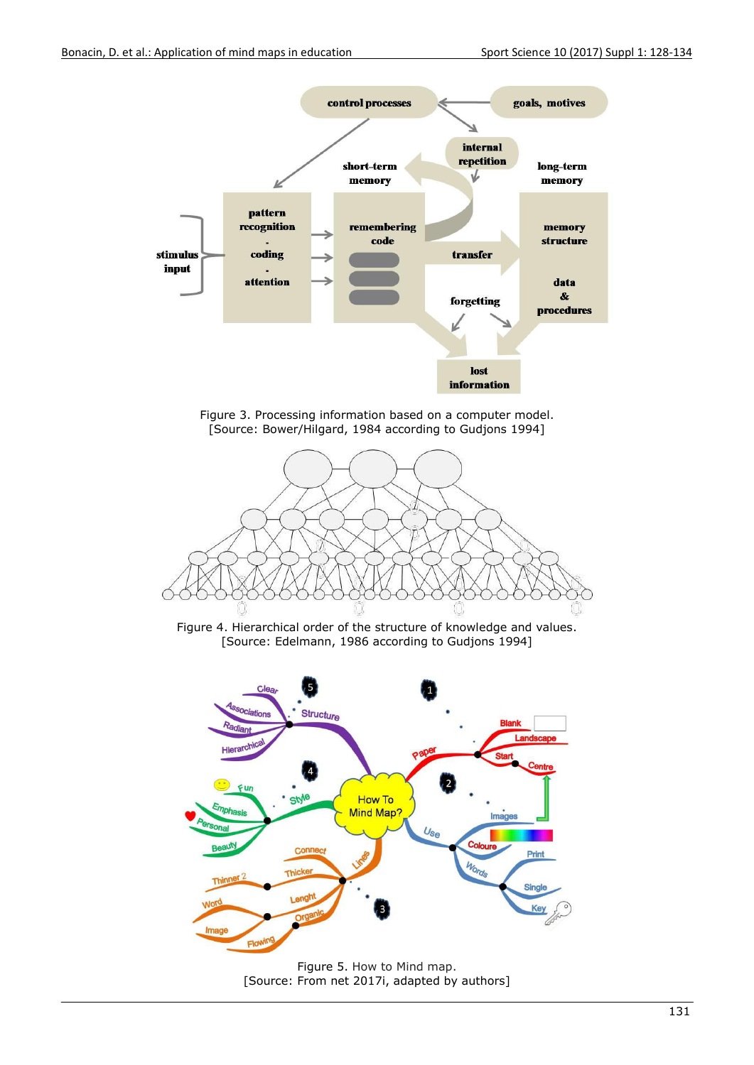

Figure 5. How to Mind map. [Source: From net 2017i, adapted by authors]

Flo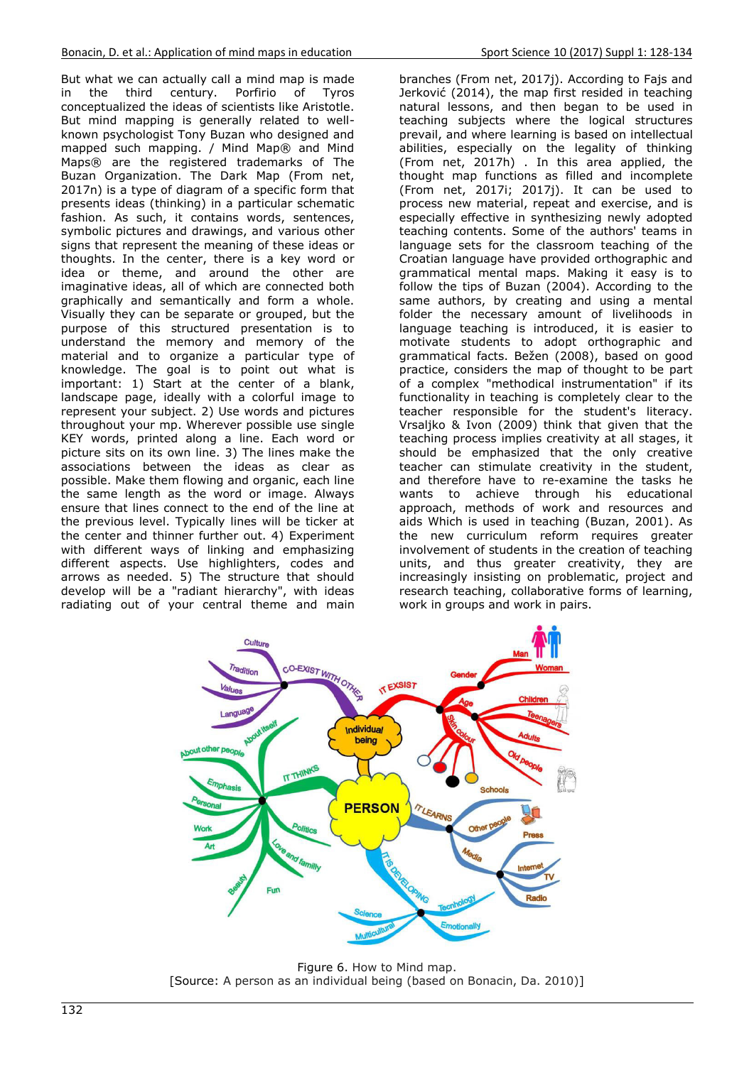But what we can actually call a mind map is made<br>in the third century. Porfirio of Tyros in the third century. Porfirio of Tyros conceptualized the ideas of scientists like Aristotle. But mind mapping is generally related to wellknown psychologist Tony Buzan who designed and mapped such mapping. / Mind Map® and Mind Maps® are the registered trademarks of The Buzan Organization. The Dark Map (From net, 2017n) is a type of diagram of a specific form that presents ideas (thinking) in a particular schematic fashion. As such, it contains words, sentences, symbolic pictures and drawings, and various other signs that represent the meaning of these ideas or thoughts. In the center, there is a key word or idea or theme, and around the other are imaginative ideas, all of which are connected both graphically and semantically and form a whole. Visually they can be separate or grouped, but the purpose of this structured presentation is to understand the memory and memory of the material and to organize a particular type of knowledge. The goal is to point out what is important: 1) Start at the center of a blank, landscape page, ideally with a colorful image to represent your subject. 2) Use words and pictures throughout your mp. Wherever possible use single KEY words, printed along a line. Each word or picture sits on its own line. 3) The lines make the associations between the ideas as clear as possible. Make them flowing and organic, each line the same length as the word or image. Always ensure that lines connect to the end of the line at the previous level. Typically lines will be ticker at the center and thinner further out. 4) Experiment with different ways of linking and emphasizing different aspects. Use highlighters, codes and arrows as needed. 5) The structure that should develop will be a "radiant hierarchy", with ideas radiating out of your central theme and main

branches (From net, 2017j). According to Fajs and Jerković (2014), the map first resided in teaching natural lessons, and then began to be used in teaching subjects where the logical structures prevail, and where learning is based on intellectual abilities, especially on the legality of thinking (From net, 2017h) . In this area applied, the thought map functions as filled and incomplete (From net, 2017i; 2017j). It can be used to process new material, repeat and exercise, and is especially effective in synthesizing newly adopted teaching contents. Some of the authors' teams in language sets for the classroom teaching of the Croatian language have provided orthographic and grammatical mental maps. Making it easy is to follow the tips of Buzan (2004). According to the same authors, by creating and using a mental folder the necessary amount of livelihoods in language teaching is introduced, it is easier to motivate students to adopt orthographic and grammatical facts. Bežen (2008), based on good practice, considers the map of thought to be part of a complex "methodical instrumentation" if its functionality in teaching is completely clear to the teacher responsible for the student's literacy. Vrsaljko & Ivon (2009) think that given that the teaching process implies creativity at all stages, it should be emphasized that the only creative teacher can stimulate creativity in the student, and therefore have to re-examine the tasks he wants to achieve through his educational approach, methods of work and resources and aids Which is used in teaching (Buzan, 2001). As the new curriculum reform requires greater involvement of students in the creation of teaching units, and thus greater creativity, they are increasingly insisting on problematic, project and research teaching, collaborative forms of learning, work in groups and work in pairs.



Figure 6. How to Mind map. [Source: A person as an individual being (based on Bonacin, Da. 2010)]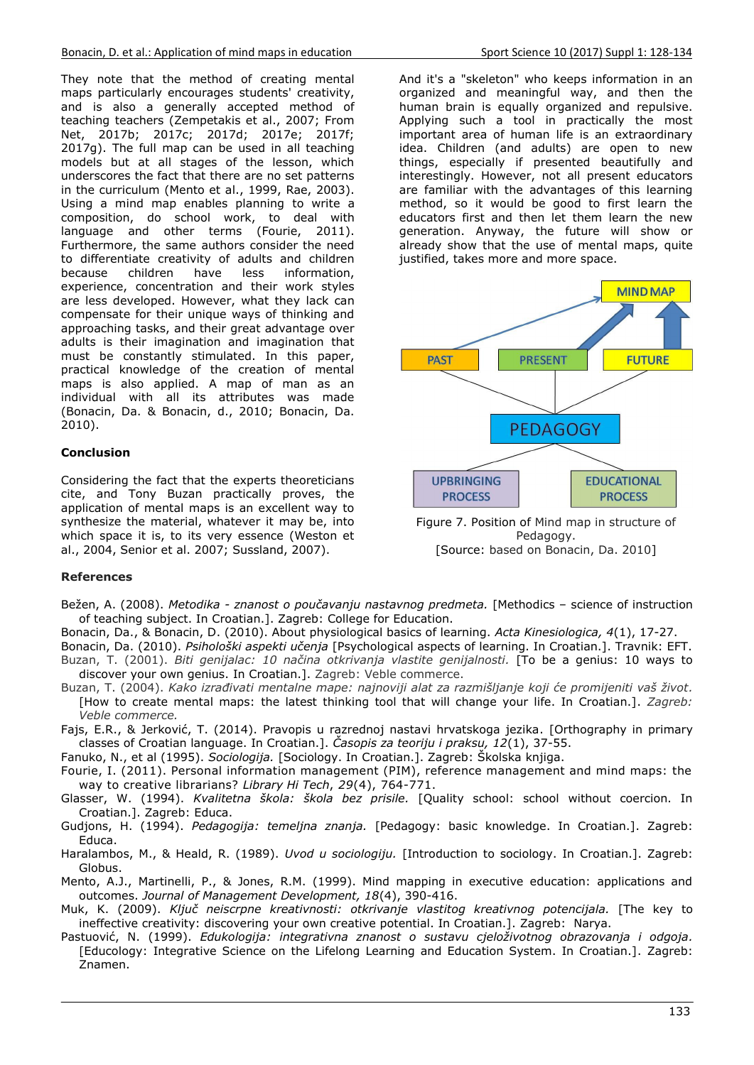They note that the method of creating mental maps particularly encourages students' creativity, and is also a generally accepted method of teaching teachers (Zempetakis et al., 2007; From Net, 2017b; 2017c; 2017d; 2017e; 2017f; 2017g). The full map can be used in all teaching models but at all stages of the lesson, which underscores the fact that there are no set patterns in the curriculum (Mento et al., 1999, Rae, 2003). Using a mind map enables planning to write a composition, do school work, to deal with language and other terms (Fourie, 2011). Furthermore, the same authors consider the need to differentiate creativity of adults and children because children have less information, experience, concentration and their work styles are less developed. However, what they lack can compensate for their unique ways of thinking and approaching tasks, and their great advantage over adults is their imagination and imagination that must be constantly stimulated. In this paper, practical knowledge of the creation of mental maps is also applied. A map of man as an individual with all its attributes was made (Bonacin, Da. & Bonacin, d., 2010; Bonacin, Da. 2010).

## **Conclusion**

Considering the fact that the experts theoreticians cite, and Tony Buzan practically proves, the application of mental maps is an excellent way to synthesize the material, whatever it may be, into which space it is, to its very essence (Weston et al., 2004, Senior et al. 2007; Sussland, 2007).

### **References**

- Bežen, A. (2008). *Metodika znanost o poučavanju nastavnog predmeta.* [Methodics science of instruction of teaching subject. In Croatian.]. Zagreb: College for Education.
- Bonacin, Da., & Bonacin, D. (2010). About physiological basics of learning. *Acta Kinesiologica, 4*(1), 17-27.
- Bonacin, Da. (2010). *Psihološki aspekti učenja* [Psychological aspects of learning. In Croatian.]. Travnik: EFT. Buzan, T. (2001). *Biti genijalac: 10 načina otkrivanja vlastite genijalnosti.* [To be a genius: 10 ways to discover your own genius. In Croatian.]. Zagreb: Veble commerce.
- Buzan, T. (2004). *Kako izrađivati mentalne mape: najnoviji alat za razmišljanje koji će promijeniti vaš život.*  [How to create mental maps: the latest thinking tool that will change your life. In Croatian.]. *Zagreb: Veble commerce.*
- Fajs, E.R., & Jerković, T. (2014). Pravopis u razrednoj nastavi hrvatskoga jezika. [Orthography in primary classes of Croatian language. In Croatian.]. *Časopis za teoriju i praksu, 12*(1), 37-55.
- Fanuko, N., et al (1995). *Sociologija.* [Sociology. In Croatian.]. Zagreb: Školska knjiga.
- Fourie, I. (2011). Personal information management (PIM), reference management and mind maps: the way to creative librarians? *Library Hi Tech*, *29*(4), 764-771.
- Glasser, W. (1994). *Kvalitetna škola: škola bez prisile.* [Quality school: school without coercion. In Croatian.]. Zagreb: Educa.
- Gudjons, H. (1994). *Pedagogija: temeljna znanja.* [Pedagogy: basic knowledge. In Croatian.]. Zagreb: Educa.
- Haralambos, M., & Heald, R. (1989). *Uvod u sociologiju.* [Introduction to sociology. In Croatian.]. Zagreb: Globus.
- Mento, A.J., Martinelli, P., & Jones, R.M. (1999). Mind mapping in executive education: applications and outcomes. *Journal of Management Development, 18*(4), 390-416.
- Muk, K. (2009). *Ključ neiscrpne kreativnosti: otkrivanje vlastitog kreativnog potencijala.* [The key to ineffective creativity: discovering your own creative potential. In Croatian.]. Zagreb: Narya.
- Pastuović, N. (1999). *Edukologija: integrativna znanost o sustavu cjeloživotnog obrazovanja i odgoja.*  [Educology: Integrative Science on the Lifelong Learning and Education System. In Croatian.]. Zagreb: Znamen.

And it's a "skeleton" who keeps information in an organized and meaningful way, and then the human brain is equally organized and repulsive. Applying such a tool in practically the most important area of human life is an extraordinary idea. Children (and adults) are open to new things, especially if presented beautifully and interestingly. However, not all present educators are familiar with the advantages of this learning method, so it would be good to first learn the educators first and then let them learn the new generation. Anyway, the future will show or already show that the use of mental maps, quite justified, takes more and more space.



Figure 7. Position of Mind map in structure of Pedagogy. [Source: based on Bonacin, Da. 2010]